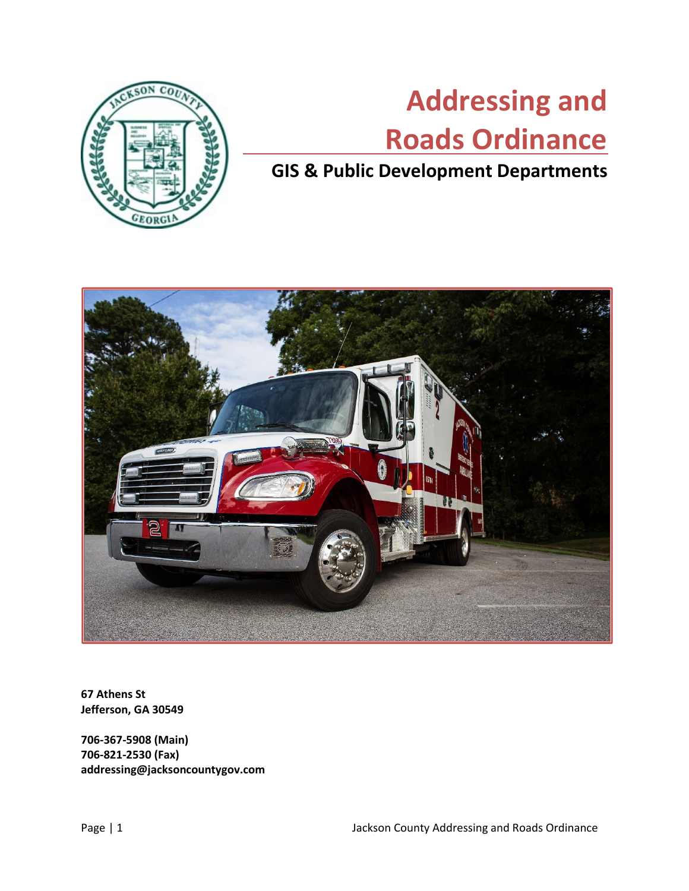

# **Addressing and Roads Ordinance**

# **GIS & Public Development Departments**



**67 Athens St Jefferson, GA 30549**

**706-367-5908 (Main) 706-821-2530 (Fax) addressing@jacksoncountygov.com**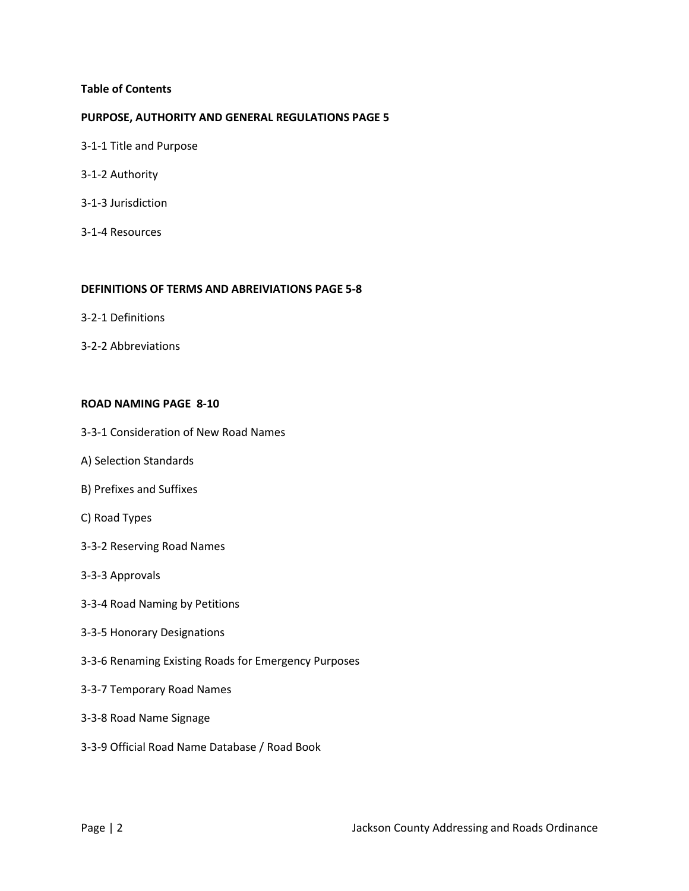#### **Table of Contents**

#### **PURPOSE, AUTHORITY AND GENERAL REGULATIONS PAGE 5**

- 3-1-1 Title and Purpose
- 3-1-2 Authority
- 3-1-3 Jurisdiction
- 3-1-4 Resources

#### **DEFINITIONS OF TERMS AND ABREIVIATIONS PAGE 5-8**

- 3-2-1 Definitions
- 3-2-2 Abbreviations

#### **ROAD NAMING PAGE 8-10**

- 3-3-1 Consideration of New Road Names
- A) Selection Standards
- B) Prefixes and Suffixes
- C) Road Types
- 3-3-2 Reserving Road Names
- 3-3-3 Approvals
- 3-3-4 Road Naming by Petitions
- 3-3-5 Honorary Designations
- 3-3-6 Renaming Existing Roads for Emergency Purposes
- 3-3-7 Temporary Road Names
- 3-3-8 Road Name Signage
- 3-3-9 Official Road Name Database / Road Book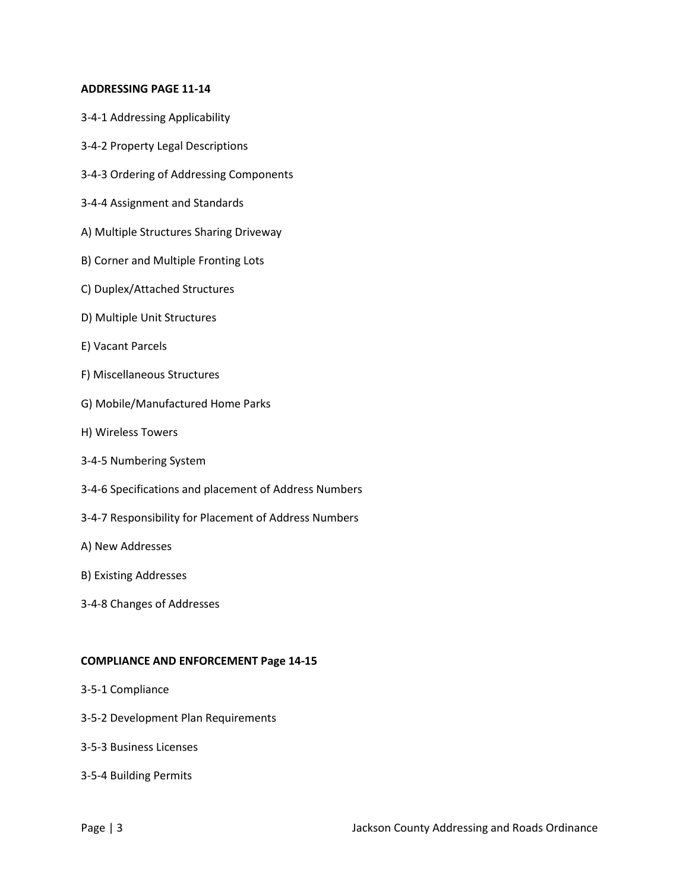#### **ADDRESSING PAGE 11-14**

- 3-4-1 Addressing Applicability
- 3-4-2 Property Legal Descriptions
- 3-4-3 Ordering of Addressing Components
- 3-4-4 Assignment and Standards
- A) Multiple Structures Sharing Driveway
- B) Corner and Multiple Fronting Lots
- C) Duplex/Attached Structures
- D) Multiple Unit Structures
- E) Vacant Parcels
- F) Miscellaneous Structures
- G) Mobile/Manufactured Home Parks
- H) Wireless Towers
- 3-4-5 Numbering System
- 3-4-6 Specifications and placement of Address Numbers
- 3-4-7 Responsibility for Placement of Address Numbers
- A) New Addresses
- B) Existing Addresses
- 3-4-8 Changes of Addresses

#### **COMPLIANCE AND ENFORCEMENT Page 14-15**

- 3-5-1 Compliance
- 3-5-2 Development Plan Requirements
- 3-5-3 Business Licenses
- 3-5-4 Building Permits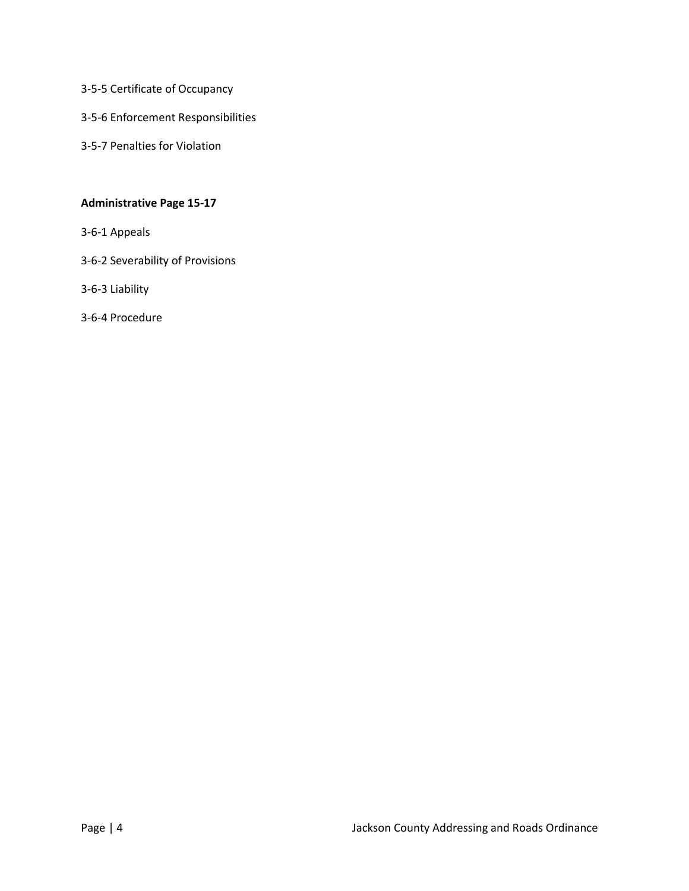- 3-5-5 Certificate of Occupancy
- 3-5-6 Enforcement Responsibilities
- 3-5-7 Penalties for Violation

# **Administrative Page 15-17**

- 3-6-1 Appeals
- 3-6-2 Severability of Provisions
- 3-6-3 Liability
- 3-6-4 Procedure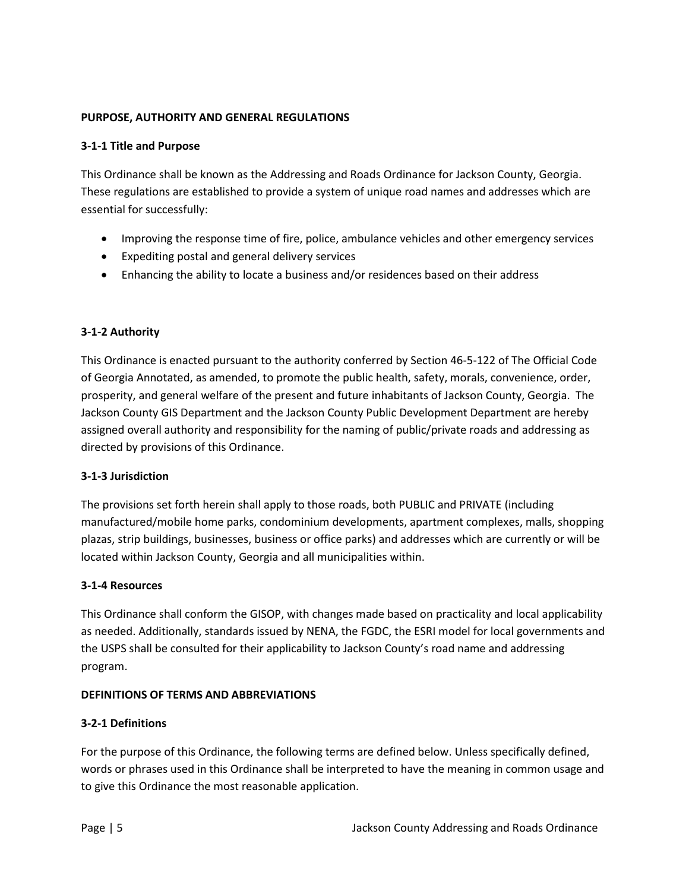# **PURPOSE, AUTHORITY AND GENERAL REGULATIONS**

# **3-1-1 Title and Purpose**

This Ordinance shall be known as the Addressing and Roads Ordinance for Jackson County, Georgia. These regulations are established to provide a system of unique road names and addresses which are essential for successfully:

- Improving the response time of fire, police, ambulance vehicles and other emergency services
- Expediting postal and general delivery services
- Enhancing the ability to locate a business and/or residences based on their address

# **3-1-2 Authority**

This Ordinance is enacted pursuant to the authority conferred by Section 46-5-122 of The Official Code of Georgia Annotated, as amended, to promote the public health, safety, morals, convenience, order, prosperity, and general welfare of the present and future inhabitants of Jackson County, Georgia. The Jackson County GIS Department and the Jackson County Public Development Department are hereby assigned overall authority and responsibility for the naming of public/private roads and addressing as directed by provisions of this Ordinance.

#### **3-1-3 Jurisdiction**

The provisions set forth herein shall apply to those roads, both PUBLIC and PRIVATE (including manufactured/mobile home parks, condominium developments, apartment complexes, malls, shopping plazas, strip buildings, businesses, business or office parks) and addresses which are currently or will be located within Jackson County, Georgia and all municipalities within.

#### **3-1-4 Resources**

This Ordinance shall conform the GISOP, with changes made based on practicality and local applicability as needed. Additionally, standards issued by NENA, the FGDC, the ESRI model for local governments and the USPS shall be consulted for their applicability to Jackson County's road name and addressing program.

#### **DEFINITIONS OF TERMS AND ABBREVIATIONS**

# **3-2-1 Definitions**

For the purpose of this Ordinance, the following terms are defined below. Unless specifically defined, words or phrases used in this Ordinance shall be interpreted to have the meaning in common usage and to give this Ordinance the most reasonable application.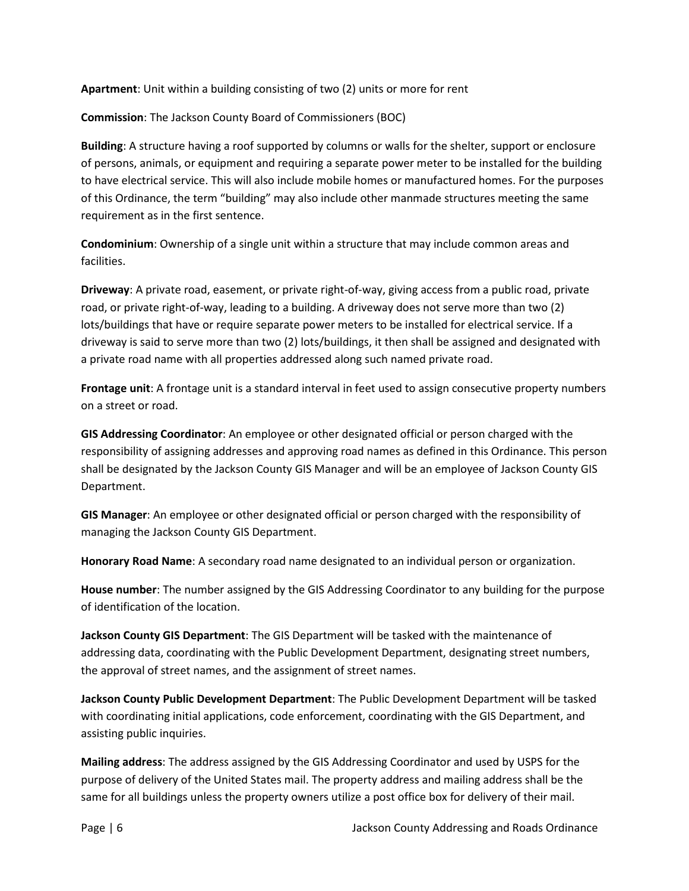**Apartment**: Unit within a building consisting of two (2) units or more for rent

**Commission**: The Jackson County Board of Commissioners (BOC)

**Building**: A structure having a roof supported by columns or walls for the shelter, support or enclosure of persons, animals, or equipment and requiring a separate power meter to be installed for the building to have electrical service. This will also include mobile homes or manufactured homes. For the purposes of this Ordinance, the term "building" may also include other manmade structures meeting the same requirement as in the first sentence.

**Condominium**: Ownership of a single unit within a structure that may include common areas and facilities.

**Driveway**: A private road, easement, or private right-of-way, giving access from a public road, private road, or private right-of-way, leading to a building. A driveway does not serve more than two (2) lots/buildings that have or require separate power meters to be installed for electrical service. If a driveway is said to serve more than two (2) lots/buildings, it then shall be assigned and designated with a private road name with all properties addressed along such named private road.

**Frontage unit**: A frontage unit is a standard interval in feet used to assign consecutive property numbers on a street or road.

**GIS Addressing Coordinator**: An employee or other designated official or person charged with the responsibility of assigning addresses and approving road names as defined in this Ordinance. This person shall be designated by the Jackson County GIS Manager and will be an employee of Jackson County GIS Department.

**GIS Manager**: An employee or other designated official or person charged with the responsibility of managing the Jackson County GIS Department.

**Honorary Road Name**: A secondary road name designated to an individual person or organization.

**House number**: The number assigned by the GIS Addressing Coordinator to any building for the purpose of identification of the location.

**Jackson County GIS Department**: The GIS Department will be tasked with the maintenance of addressing data, coordinating with the Public Development Department, designating street numbers, the approval of street names, and the assignment of street names.

**Jackson County Public Development Department**: The Public Development Department will be tasked with coordinating initial applications, code enforcement, coordinating with the GIS Department, and assisting public inquiries.

**Mailing address**: The address assigned by the GIS Addressing Coordinator and used by USPS for the purpose of delivery of the United States mail. The property address and mailing address shall be the same for all buildings unless the property owners utilize a post office box for delivery of their mail.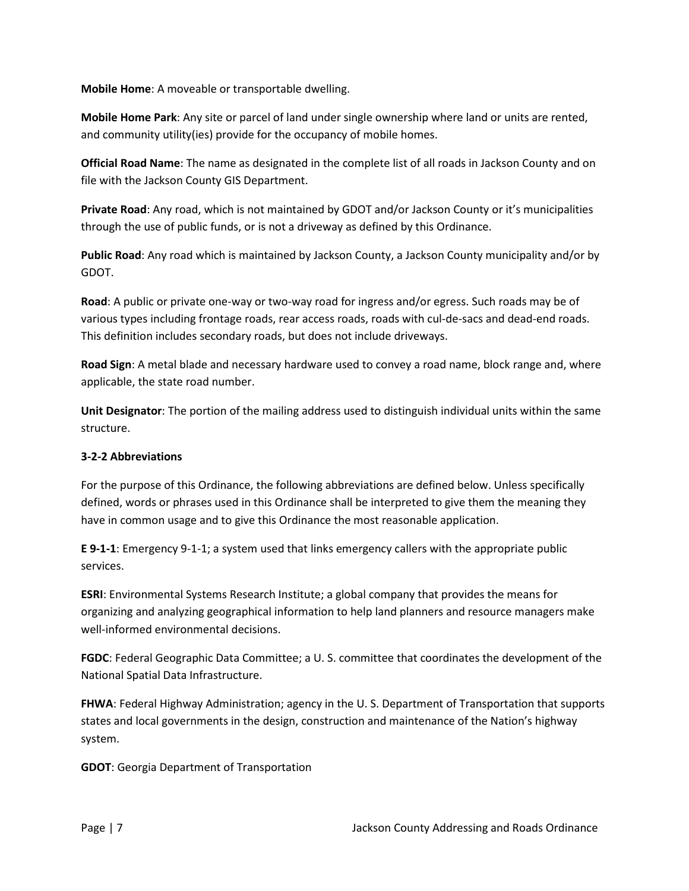**Mobile Home**: A moveable or transportable dwelling.

**Mobile Home Park**: Any site or parcel of land under single ownership where land or units are rented, and community utility(ies) provide for the occupancy of mobile homes.

**Official Road Name**: The name as designated in the complete list of all roads in Jackson County and on file with the Jackson County GIS Department.

**Private Road**: Any road, which is not maintained by GDOT and/or Jackson County or it's municipalities through the use of public funds, or is not a driveway as defined by this Ordinance.

**Public Road**: Any road which is maintained by Jackson County, a Jackson County municipality and/or by GDOT.

**Road**: A public or private one-way or two-way road for ingress and/or egress. Such roads may be of various types including frontage roads, rear access roads, roads with cul-de-sacs and dead-end roads. This definition includes secondary roads, but does not include driveways.

**Road Sign**: A metal blade and necessary hardware used to convey a road name, block range and, where applicable, the state road number.

**Unit Designator**: The portion of the mailing address used to distinguish individual units within the same structure.

# **3-2-2 Abbreviations**

For the purpose of this Ordinance, the following abbreviations are defined below. Unless specifically defined, words or phrases used in this Ordinance shall be interpreted to give them the meaning they have in common usage and to give this Ordinance the most reasonable application.

**E 9-1-1**: Emergency 9-1-1; a system used that links emergency callers with the appropriate public services.

**ESRI**: Environmental Systems Research Institute; a global company that provides the means for organizing and analyzing geographical information to help land planners and resource managers make well-informed environmental decisions.

**FGDC**: Federal Geographic Data Committee; a U. S. committee that coordinates the development of the National Spatial Data Infrastructure.

**FHWA**: Federal Highway Administration; agency in the U. S. Department of Transportation that supports states and local governments in the design, construction and maintenance of the Nation's highway system.

**GDOT**: Georgia Department of Transportation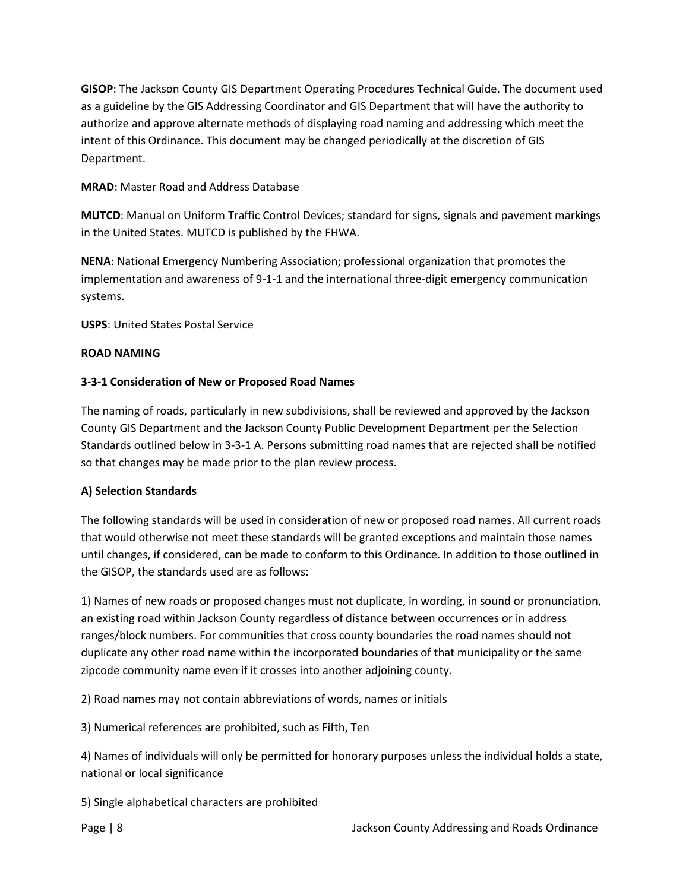**GISOP**: The Jackson County GIS Department Operating Procedures Technical Guide. The document used as a guideline by the GIS Addressing Coordinator and GIS Department that will have the authority to authorize and approve alternate methods of displaying road naming and addressing which meet the intent of this Ordinance. This document may be changed periodically at the discretion of GIS Department.

# **MRAD**: Master Road and Address Database

**MUTCD**: Manual on Uniform Traffic Control Devices; standard for signs, signals and pavement markings in the United States. MUTCD is published by the FHWA.

**NENA**: National Emergency Numbering Association; professional organization that promotes the implementation and awareness of 9-1-1 and the international three-digit emergency communication systems.

**USPS**: United States Postal Service

# **ROAD NAMING**

# **3-3-1 Consideration of New or Proposed Road Names**

The naming of roads, particularly in new subdivisions, shall be reviewed and approved by the Jackson County GIS Department and the Jackson County Public Development Department per the Selection Standards outlined below in 3-3-1 A. Persons submitting road names that are rejected shall be notified so that changes may be made prior to the plan review process.

#### **A) Selection Standards**

The following standards will be used in consideration of new or proposed road names. All current roads that would otherwise not meet these standards will be granted exceptions and maintain those names until changes, if considered, can be made to conform to this Ordinance. In addition to those outlined in the GISOP, the standards used are as follows:

1) Names of new roads or proposed changes must not duplicate, in wording, in sound or pronunciation, an existing road within Jackson County regardless of distance between occurrences or in address ranges/block numbers. For communities that cross county boundaries the road names should not duplicate any other road name within the incorporated boundaries of that municipality or the same zipcode community name even if it crosses into another adjoining county.

2) Road names may not contain abbreviations of words, names or initials

3) Numerical references are prohibited, such as Fifth, Ten

4) Names of individuals will only be permitted for honorary purposes unless the individual holds a state, national or local significance

5) Single alphabetical characters are prohibited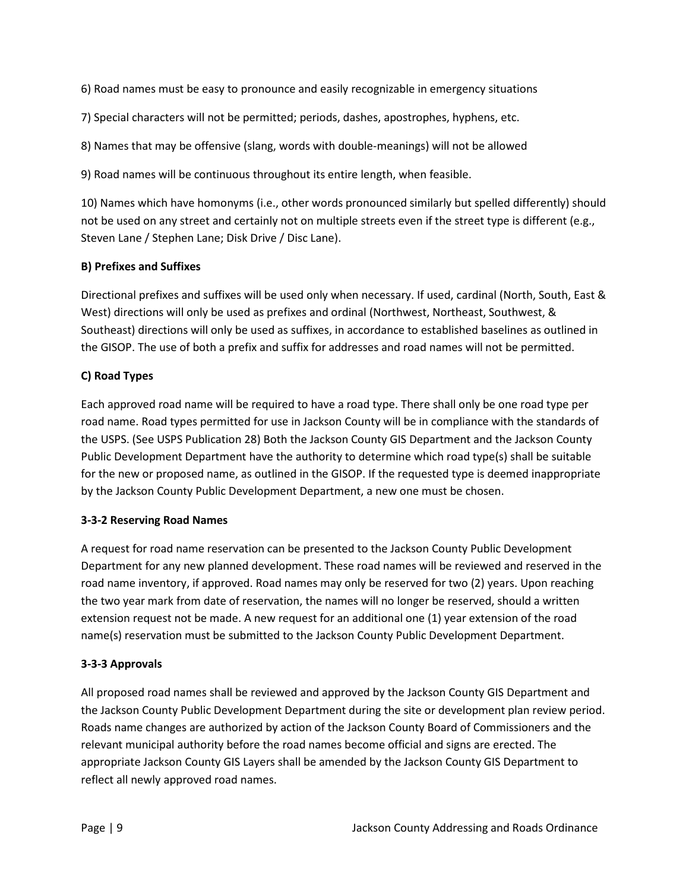6) Road names must be easy to pronounce and easily recognizable in emergency situations

7) Special characters will not be permitted; periods, dashes, apostrophes, hyphens, etc.

8) Names that may be offensive (slang, words with double-meanings) will not be allowed

9) Road names will be continuous throughout its entire length, when feasible.

10) Names which have homonyms (i.e., other words pronounced similarly but spelled differently) should not be used on any street and certainly not on multiple streets even if the street type is different (e.g., Steven Lane / Stephen Lane; Disk Drive / Disc Lane).

# **B) Prefixes and Suffixes**

Directional prefixes and suffixes will be used only when necessary. If used, cardinal (North, South, East & West) directions will only be used as prefixes and ordinal (Northwest, Northeast, Southwest, & Southeast) directions will only be used as suffixes, in accordance to established baselines as outlined in the GISOP. The use of both a prefix and suffix for addresses and road names will not be permitted.

# **C) Road Types**

Each approved road name will be required to have a road type. There shall only be one road type per road name. Road types permitted for use in Jackson County will be in compliance with the standards of the USPS. (See USPS Publication 28) Both the Jackson County GIS Department and the Jackson County Public Development Department have the authority to determine which road type(s) shall be suitable for the new or proposed name, as outlined in the GISOP. If the requested type is deemed inappropriate by the Jackson County Public Development Department, a new one must be chosen.

#### **3-3-2 Reserving Road Names**

A request for road name reservation can be presented to the Jackson County Public Development Department for any new planned development. These road names will be reviewed and reserved in the road name inventory, if approved. Road names may only be reserved for two (2) years. Upon reaching the two year mark from date of reservation, the names will no longer be reserved, should a written extension request not be made. A new request for an additional one (1) year extension of the road name(s) reservation must be submitted to the Jackson County Public Development Department.

#### **3-3-3 Approvals**

All proposed road names shall be reviewed and approved by the Jackson County GIS Department and the Jackson County Public Development Department during the site or development plan review period. Roads name changes are authorized by action of the Jackson County Board of Commissioners and the relevant municipal authority before the road names become official and signs are erected. The appropriate Jackson County GIS Layers shall be amended by the Jackson County GIS Department to reflect all newly approved road names.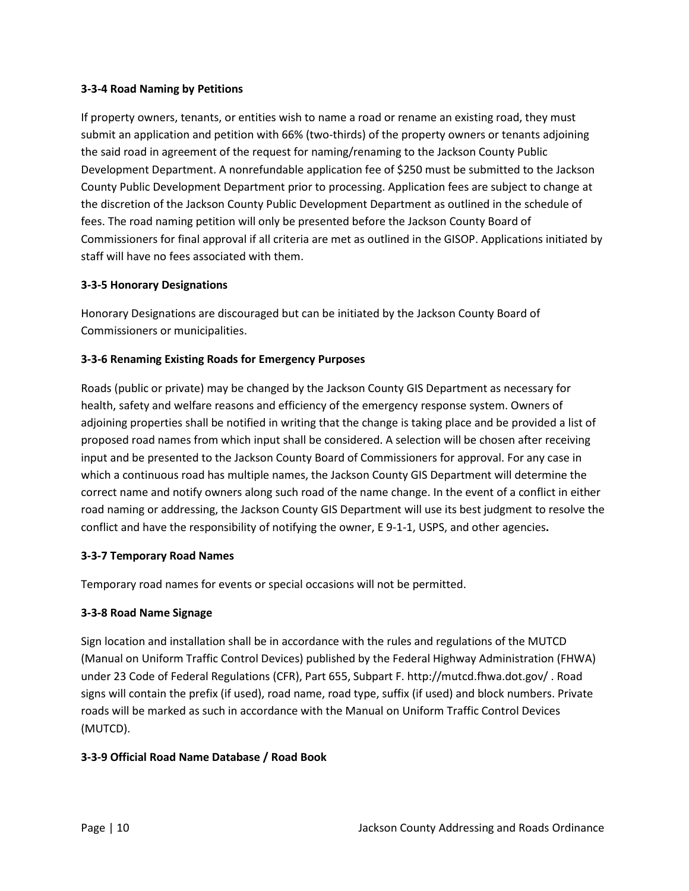# **3-3-4 Road Naming by Petitions**

If property owners, tenants, or entities wish to name a road or rename an existing road, they must submit an application and petition with 66% (two-thirds) of the property owners or tenants adjoining the said road in agreement of the request for naming/renaming to the Jackson County Public Development Department. A nonrefundable application fee of \$250 must be submitted to the Jackson County Public Development Department prior to processing. Application fees are subject to change at the discretion of the Jackson County Public Development Department as outlined in the schedule of fees. The road naming petition will only be presented before the Jackson County Board of Commissioners for final approval if all criteria are met as outlined in the GISOP. Applications initiated by staff will have no fees associated with them.

# **3-3-5 Honorary Designations**

Honorary Designations are discouraged but can be initiated by the Jackson County Board of Commissioners or municipalities.

# **3-3-6 Renaming Existing Roads for Emergency Purposes**

Roads (public or private) may be changed by the Jackson County GIS Department as necessary for health, safety and welfare reasons and efficiency of the emergency response system. Owners of adjoining properties shall be notified in writing that the change is taking place and be provided a list of proposed road names from which input shall be considered. A selection will be chosen after receiving input and be presented to the Jackson County Board of Commissioners for approval. For any case in which a continuous road has multiple names, the Jackson County GIS Department will determine the correct name and notify owners along such road of the name change. In the event of a conflict in either road naming or addressing, the Jackson County GIS Department will use its best judgment to resolve the conflict and have the responsibility of notifying the owner, E 9-1-1, USPS, and other agencies**.** 

#### **3-3-7 Temporary Road Names**

Temporary road names for events or special occasions will not be permitted.

#### **3-3-8 Road Name Signage**

Sign location and installation shall be in accordance with the rules and regulations of the MUTCD (Manual on Uniform Traffic Control Devices) published by the Federal Highway Administration (FHWA) under 23 Code of Federal Regulations (CFR), Part 655, Subpart F. http://mutcd.fhwa.dot.gov/ . Road signs will contain the prefix (if used), road name, road type, suffix (if used) and block numbers. Private roads will be marked as such in accordance with the Manual on Uniform Traffic Control Devices (MUTCD).

#### **3-3-9 Official Road Name Database / Road Book**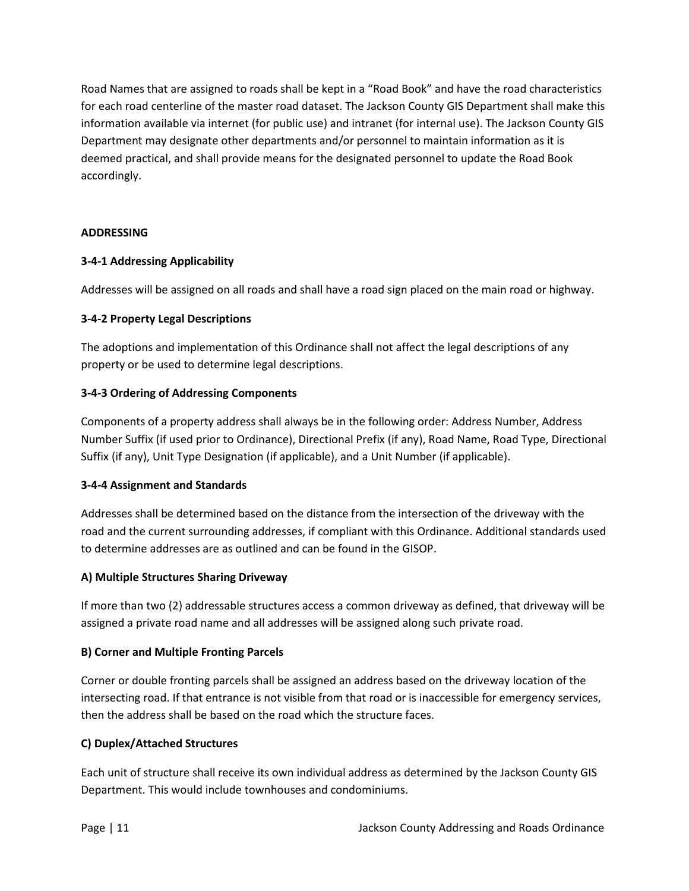Road Names that are assigned to roads shall be kept in a "Road Book" and have the road characteristics for each road centerline of the master road dataset. The Jackson County GIS Department shall make this information available via internet (for public use) and intranet (for internal use). The Jackson County GIS Department may designate other departments and/or personnel to maintain information as it is deemed practical, and shall provide means for the designated personnel to update the Road Book accordingly.

# **ADDRESSING**

# **3-4-1 Addressing Applicability**

Addresses will be assigned on all roads and shall have a road sign placed on the main road or highway.

# **3-4-2 Property Legal Descriptions**

The adoptions and implementation of this Ordinance shall not affect the legal descriptions of any property or be used to determine legal descriptions.

# **3-4-3 Ordering of Addressing Components**

Components of a property address shall always be in the following order: Address Number, Address Number Suffix (if used prior to Ordinance), Directional Prefix (if any), Road Name, Road Type, Directional Suffix (if any), Unit Type Designation (if applicable), and a Unit Number (if applicable).

#### **3-4-4 Assignment and Standards**

Addresses shall be determined based on the distance from the intersection of the driveway with the road and the current surrounding addresses, if compliant with this Ordinance. Additional standards used to determine addresses are as outlined and can be found in the GISOP.

# **A) Multiple Structures Sharing Driveway**

If more than two (2) addressable structures access a common driveway as defined, that driveway will be assigned a private road name and all addresses will be assigned along such private road.

#### **B) Corner and Multiple Fronting Parcels**

Corner or double fronting parcels shall be assigned an address based on the driveway location of the intersecting road. If that entrance is not visible from that road or is inaccessible for emergency services, then the address shall be based on the road which the structure faces.

#### **C) Duplex/Attached Structures**

Each unit of structure shall receive its own individual address as determined by the Jackson County GIS Department. This would include townhouses and condominiums.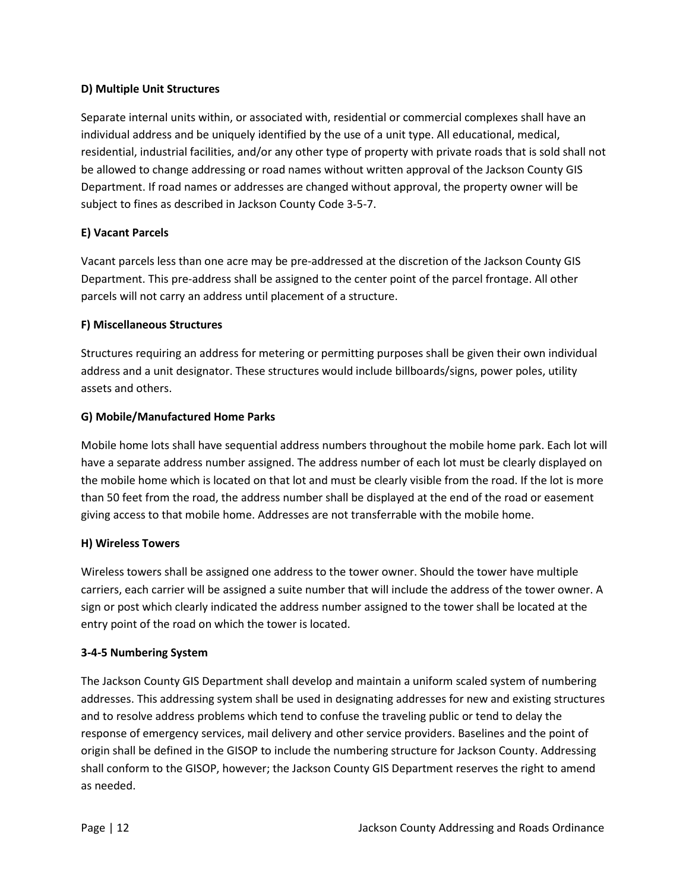# **D) Multiple Unit Structures**

Separate internal units within, or associated with, residential or commercial complexes shall have an individual address and be uniquely identified by the use of a unit type. All educational, medical, residential, industrial facilities, and/or any other type of property with private roads that is sold shall not be allowed to change addressing or road names without written approval of the Jackson County GIS Department. If road names or addresses are changed without approval, the property owner will be subject to fines as described in Jackson County Code 3-5-7.

# **E) Vacant Parcels**

Vacant parcels less than one acre may be pre-addressed at the discretion of the Jackson County GIS Department. This pre-address shall be assigned to the center point of the parcel frontage. All other parcels will not carry an address until placement of a structure.

# **F) Miscellaneous Structures**

Structures requiring an address for metering or permitting purposes shall be given their own individual address and a unit designator. These structures would include billboards/signs, power poles, utility assets and others.

# **G) Mobile/Manufactured Home Parks**

Mobile home lots shall have sequential address numbers throughout the mobile home park. Each lot will have a separate address number assigned. The address number of each lot must be clearly displayed on the mobile home which is located on that lot and must be clearly visible from the road. If the lot is more than 50 feet from the road, the address number shall be displayed at the end of the road or easement giving access to that mobile home. Addresses are not transferrable with the mobile home.

#### **H) Wireless Towers**

Wireless towers shall be assigned one address to the tower owner. Should the tower have multiple carriers, each carrier will be assigned a suite number that will include the address of the tower owner. A sign or post which clearly indicated the address number assigned to the tower shall be located at the entry point of the road on which the tower is located.

# **3-4-5 Numbering System**

The Jackson County GIS Department shall develop and maintain a uniform scaled system of numbering addresses. This addressing system shall be used in designating addresses for new and existing structures and to resolve address problems which tend to confuse the traveling public or tend to delay the response of emergency services, mail delivery and other service providers. Baselines and the point of origin shall be defined in the GISOP to include the numbering structure for Jackson County. Addressing shall conform to the GISOP, however; the Jackson County GIS Department reserves the right to amend as needed.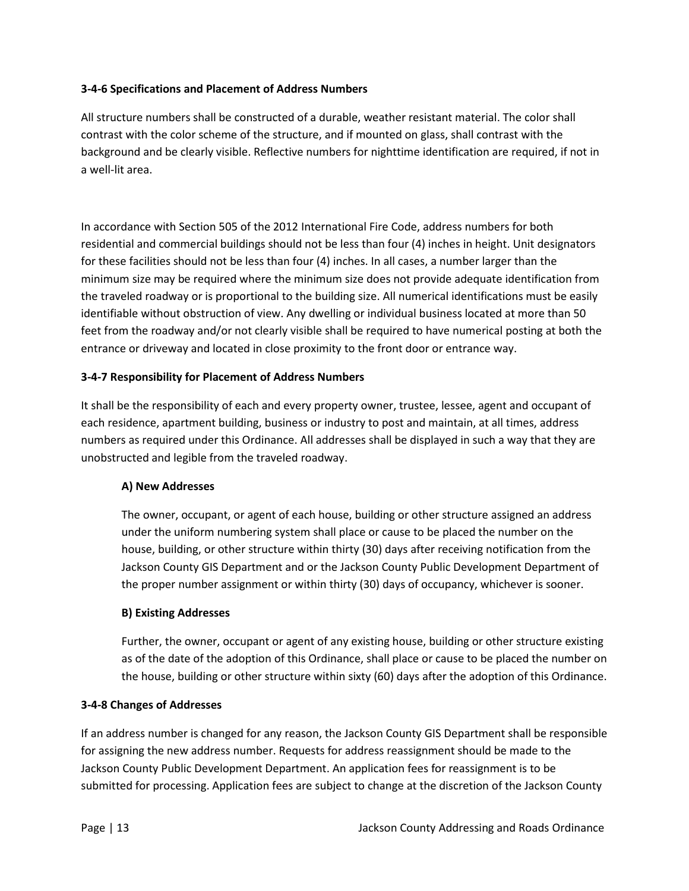# **3-4-6 Specifications and Placement of Address Numbers**

All structure numbers shall be constructed of a durable, weather resistant material. The color shall contrast with the color scheme of the structure, and if mounted on glass, shall contrast with the background and be clearly visible. Reflective numbers for nighttime identification are required, if not in a well-lit area.

In accordance with Section 505 of the 2012 International Fire Code, address numbers for both residential and commercial buildings should not be less than four (4) inches in height. Unit designators for these facilities should not be less than four (4) inches. In all cases, a number larger than the minimum size may be required where the minimum size does not provide adequate identification from the traveled roadway or is proportional to the building size. All numerical identifications must be easily identifiable without obstruction of view. Any dwelling or individual business located at more than 50 feet from the roadway and/or not clearly visible shall be required to have numerical posting at both the entrance or driveway and located in close proximity to the front door or entrance way.

# **3-4-7 Responsibility for Placement of Address Numbers**

It shall be the responsibility of each and every property owner, trustee, lessee, agent and occupant of each residence, apartment building, business or industry to post and maintain, at all times, address numbers as required under this Ordinance. All addresses shall be displayed in such a way that they are unobstructed and legible from the traveled roadway.

#### **A) New Addresses**

The owner, occupant, or agent of each house, building or other structure assigned an address under the uniform numbering system shall place or cause to be placed the number on the house, building, or other structure within thirty (30) days after receiving notification from the Jackson County GIS Department and or the Jackson County Public Development Department of the proper number assignment or within thirty (30) days of occupancy, whichever is sooner.

#### **B) Existing Addresses**

Further, the owner, occupant or agent of any existing house, building or other structure existing as of the date of the adoption of this Ordinance, shall place or cause to be placed the number on the house, building or other structure within sixty (60) days after the adoption of this Ordinance.

#### **3-4-8 Changes of Addresses**

If an address number is changed for any reason, the Jackson County GIS Department shall be responsible for assigning the new address number. Requests for address reassignment should be made to the Jackson County Public Development Department. An application fees for reassignment is to be submitted for processing. Application fees are subject to change at the discretion of the Jackson County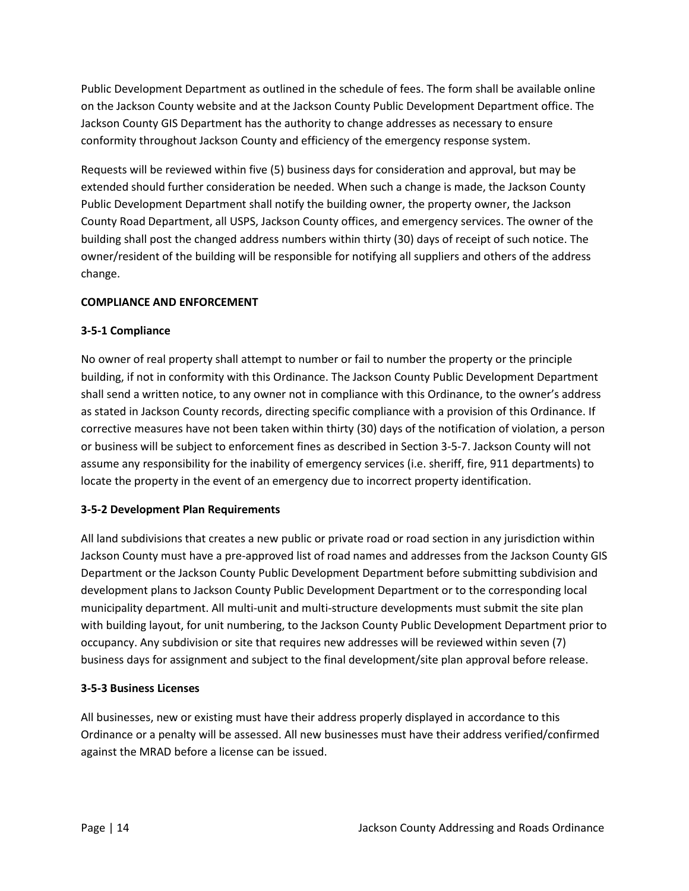Public Development Department as outlined in the schedule of fees. The form shall be available online on the Jackson County website and at the Jackson County Public Development Department office. The Jackson County GIS Department has the authority to change addresses as necessary to ensure conformity throughout Jackson County and efficiency of the emergency response system.

Requests will be reviewed within five (5) business days for consideration and approval, but may be extended should further consideration be needed. When such a change is made, the Jackson County Public Development Department shall notify the building owner, the property owner, the Jackson County Road Department, all USPS, Jackson County offices, and emergency services. The owner of the building shall post the changed address numbers within thirty (30) days of receipt of such notice. The owner/resident of the building will be responsible for notifying all suppliers and others of the address change.

# **COMPLIANCE AND ENFORCEMENT**

# **3-5-1 Compliance**

No owner of real property shall attempt to number or fail to number the property or the principle building, if not in conformity with this Ordinance. The Jackson County Public Development Department shall send a written notice, to any owner not in compliance with this Ordinance, to the owner's address as stated in Jackson County records, directing specific compliance with a provision of this Ordinance. If corrective measures have not been taken within thirty (30) days of the notification of violation, a person or business will be subject to enforcement fines as described in Section 3-5-7. Jackson County will not assume any responsibility for the inability of emergency services (i.e. sheriff, fire, 911 departments) to locate the property in the event of an emergency due to incorrect property identification.

#### **3-5-2 Development Plan Requirements**

All land subdivisions that creates a new public or private road or road section in any jurisdiction within Jackson County must have a pre-approved list of road names and addresses from the Jackson County GIS Department or the Jackson County Public Development Department before submitting subdivision and development plans to Jackson County Public Development Department or to the corresponding local municipality department. All multi-unit and multi-structure developments must submit the site plan with building layout, for unit numbering, to the Jackson County Public Development Department prior to occupancy. Any subdivision or site that requires new addresses will be reviewed within seven (7) business days for assignment and subject to the final development/site plan approval before release.

#### **3-5-3 Business Licenses**

All businesses, new or existing must have their address properly displayed in accordance to this Ordinance or a penalty will be assessed. All new businesses must have their address verified/confirmed against the MRAD before a license can be issued.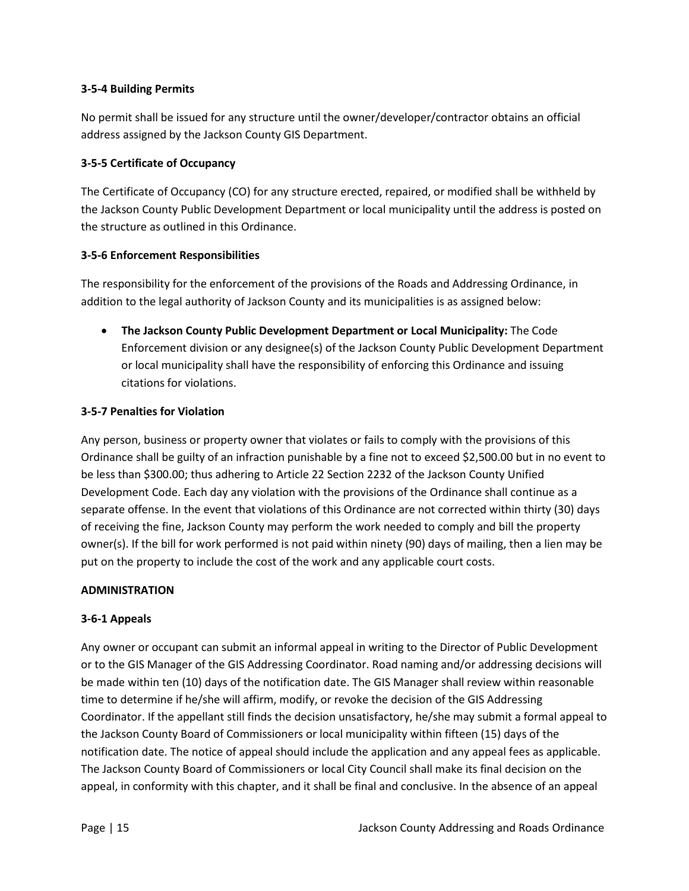# **3-5-4 Building Permits**

No permit shall be issued for any structure until the owner/developer/contractor obtains an official address assigned by the Jackson County GIS Department.

# **3-5-5 Certificate of Occupancy**

The Certificate of Occupancy (CO) for any structure erected, repaired, or modified shall be withheld by the Jackson County Public Development Department or local municipality until the address is posted on the structure as outlined in this Ordinance.

# **3-5-6 Enforcement Responsibilities**

The responsibility for the enforcement of the provisions of the Roads and Addressing Ordinance, in addition to the legal authority of Jackson County and its municipalities is as assigned below:

• **The Jackson County Public Development Department or Local Municipality:** The Code Enforcement division or any designee(s) of the Jackson County Public Development Department or local municipality shall have the responsibility of enforcing this Ordinance and issuing citations for violations.

# **3-5-7 Penalties for Violation**

Any person, business or property owner that violates or fails to comply with the provisions of this Ordinance shall be guilty of an infraction punishable by a fine not to exceed \$2,500.00 but in no event to be less than \$300.00; thus adhering to Article 22 Section 2232 of the Jackson County Unified Development Code. Each day any violation with the provisions of the Ordinance shall continue as a separate offense. In the event that violations of this Ordinance are not corrected within thirty (30) days of receiving the fine, Jackson County may perform the work needed to comply and bill the property owner(s). If the bill for work performed is not paid within ninety (90) days of mailing, then a lien may be put on the property to include the cost of the work and any applicable court costs.

# **ADMINISTRATION**

# **3-6-1 Appeals**

Any owner or occupant can submit an informal appeal in writing to the Director of Public Development or to the GIS Manager of the GIS Addressing Coordinator. Road naming and/or addressing decisions will be made within ten (10) days of the notification date. The GIS Manager shall review within reasonable time to determine if he/she will affirm, modify, or revoke the decision of the GIS Addressing Coordinator. If the appellant still finds the decision unsatisfactory, he/she may submit a formal appeal to the Jackson County Board of Commissioners or local municipality within fifteen (15) days of the notification date. The notice of appeal should include the application and any appeal fees as applicable. The Jackson County Board of Commissioners or local City Council shall make its final decision on the appeal, in conformity with this chapter, and it shall be final and conclusive. In the absence of an appeal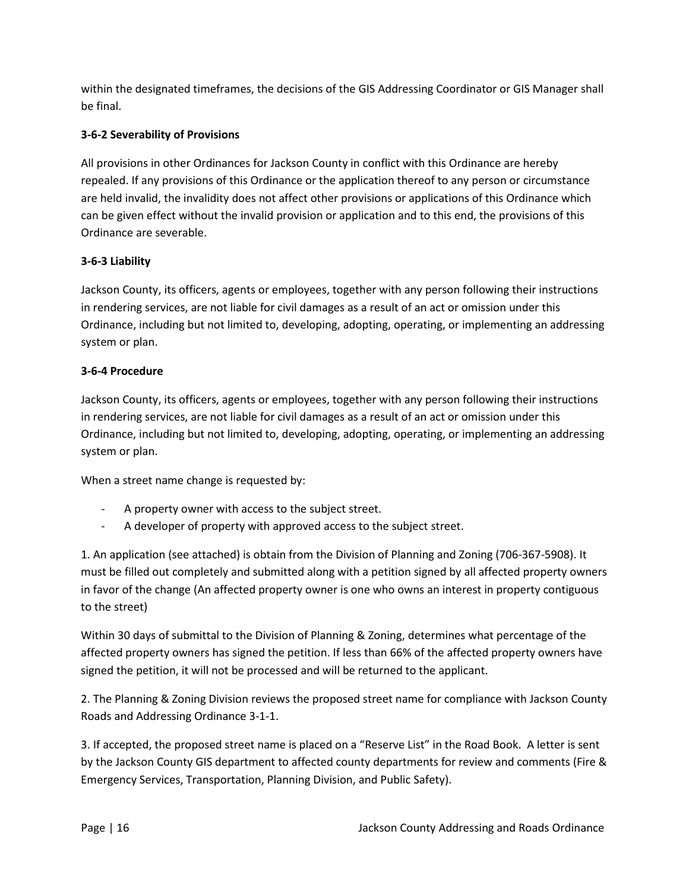within the designated timeframes, the decisions of the GIS Addressing Coordinator or GIS Manager shall be final.

# **3-6-2 Severability of Provisions**

All provisions in other Ordinances for Jackson County in conflict with this Ordinance are hereby repealed. If any provisions of this Ordinance or the application thereof to any person or circumstance are held invalid, the invalidity does not affect other provisions or applications of this Ordinance which can be given effect without the invalid provision or application and to this end, the provisions of this Ordinance are severable.

# **3-6-3 Liability**

Jackson County, its officers, agents or employees, together with any person following their instructions in rendering services, are not liable for civil damages as a result of an act or omission under this Ordinance, including but not limited to, developing, adopting, operating, or implementing an addressing system or plan.

# **3-6-4 Procedure**

Jackson County, its officers, agents or employees, together with any person following their instructions in rendering services, are not liable for civil damages as a result of an act or omission under this Ordinance, including but not limited to, developing, adopting, operating, or implementing an addressing system or plan.

When a street name change is requested by:

- A property owner with access to the subject street.
- A developer of property with approved access to the subject street.

1. An application (see attached) is obtain from the Division of Planning and Zoning (706-367-5908). It must be filled out completely and submitted along with a petition signed by all affected property owners in favor of the change (An affected property owner is one who owns an interest in property contiguous to the street)

Within 30 days of submittal to the Division of Planning & Zoning, determines what percentage of the affected property owners has signed the petition. If less than 66% of the affected property owners have signed the petition, it will not be processed and will be returned to the applicant.

2. The Planning & Zoning Division reviews the proposed street name for compliance with Jackson County Roads and Addressing Ordinance 3-1-1.

3. If accepted, the proposed street name is placed on a "Reserve List" in the Road Book. A letter is sent by the Jackson County GIS department to affected county departments for review and comments (Fire & Emergency Services, Transportation, Planning Division, and Public Safety).